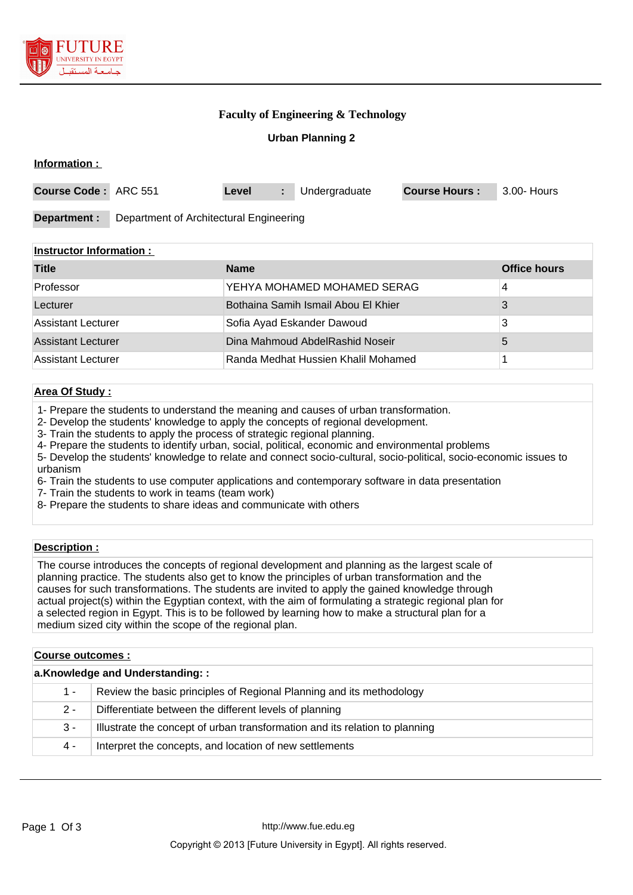

### **Faculty of Engineering & Technology**

### **Urban Planning 2**

| Information:                                            |                                          |                      |                     |  |
|---------------------------------------------------------|------------------------------------------|----------------------|---------------------|--|
| <b>Course Code:</b><br>ARC 551                          | Undergraduate<br>Level<br>÷.             | <b>Course Hours:</b> | 3.00- Hours         |  |
| Department :<br>Department of Architectural Engineering |                                          |                      |                     |  |
| <b>Instructor Information:</b>                          |                                          |                      |                     |  |
| <b>Title</b>                                            | <b>Name</b>                              |                      | <b>Office hours</b> |  |
| Professor                                               | YEHYA MOHAMED MOHAMED SERAG              |                      | 4                   |  |
| Lecturer                                                | Bothaina Samih Ismail Abou El Khier<br>3 |                      |                     |  |
| .                                                       |                                          |                      |                     |  |

| Lecturer           | <b>BUILLANDE SAILLET ISITIALL ADOUT ET NITTEL</b> |  |
|--------------------|---------------------------------------------------|--|
| Assistant Lecturer | Sofia Ayad Eskander Dawoud                        |  |
| Assistant Lecturer | Dina Mahmoud AbdelRashid Noseir                   |  |
| Assistant Lecturer | Randa Medhat Hussien Khalil Mohamed               |  |

# **Area Of Study :**

1- Prepare the students to understand the meaning and causes of urban transformation.

2- Develop the students' knowledge to apply the concepts of regional development.

3- Train the students to apply the process of strategic regional planning.

4- Prepare the students to identify urban, social, political, economic and environmental problems

5- Develop the students' knowledge to relate and connect socio-cultural, socio-political, socio-economic issues to urbanism

6- Train the students to use computer applications and contemporary software in data presentation

7- Train the students to work in teams (team work)

8- Prepare the students to share ideas and communicate with others

### **Description :**

The course introduces the concepts of regional development and planning as the largest scale of planning practice. The students also get to know the principles of urban transformation and the causes for such transformations. The students are invited to apply the gained knowledge through actual project(s) within the Egyptian context, with the aim of formulating a strategic regional plan for a selected region in Egypt. This is to be followed by learning how to make a structural plan for a medium sized city within the scope of the regional plan.

| <b>Course outcomes:</b>         |                                                                             |  |
|---------------------------------|-----------------------------------------------------------------------------|--|
| a.Knowledge and Understanding:: |                                                                             |  |
| $1 -$                           | Review the basic principles of Regional Planning and its methodology        |  |
| $2 -$                           | Differentiate between the different levels of planning                      |  |
| 3 -                             | Illustrate the concept of urban transformation and its relation to planning |  |
| 4 -                             | Interpret the concepts, and location of new settlements                     |  |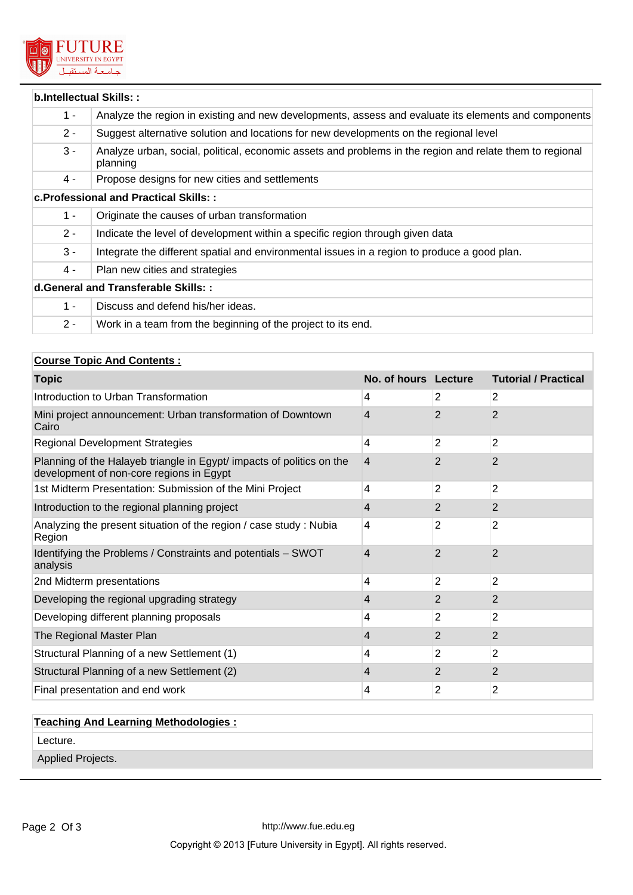

|       | b.Intellectual Skills::                                                                                              |
|-------|----------------------------------------------------------------------------------------------------------------------|
| $1 -$ | Analyze the region in existing and new developments, assess and evaluate its elements and components                 |
| $2 -$ | Suggest alternative solution and locations for new developments on the regional level                                |
| $3 -$ | Analyze urban, social, political, economic assets and problems in the region and relate them to regional<br>planning |
| 4 -   | Propose designs for new cities and settlements                                                                       |
|       | c. Professional and Practical Skills::                                                                               |
| $1 -$ | Originate the causes of urban transformation                                                                         |
| $2 -$ | Indicate the level of development within a specific region through given data                                        |
| $3 -$ | Integrate the different spatial and environmental issues in a region to produce a good plan.                         |
| 4 -   | Plan new cities and strategies                                                                                       |
|       | d. General and Transferable Skills::                                                                                 |
| $1 -$ | Discuss and defend his/her ideas.                                                                                    |
| $2 -$ | Work in a team from the beginning of the project to its end.                                                         |

# **Course Topic And Contents :**

| <b>Topic</b>                                                                                                      | No. of hours Lecture |                | <b>Tutorial / Practical</b> |
|-------------------------------------------------------------------------------------------------------------------|----------------------|----------------|-----------------------------|
| Introduction to Urban Transformation                                                                              | 4                    | $\overline{2}$ | $\overline{2}$              |
| Mini project announcement: Urban transformation of Downtown<br>Cairo                                              | 4                    | 2              | $\overline{2}$              |
| <b>Regional Development Strategies</b>                                                                            | 4                    | $\overline{2}$ | $\overline{2}$              |
| Planning of the Halayeb triangle in Egypt/ impacts of politics on the<br>development of non-core regions in Egypt | 4                    | $\overline{2}$ | $\overline{2}$              |
| 1st Midterm Presentation: Submission of the Mini Project                                                          | 4                    | $\overline{2}$ | $\overline{2}$              |
| Introduction to the regional planning project                                                                     | 4                    | 2              | $\mathbf{2}$                |
| Analyzing the present situation of the region / case study : Nubia<br>Region                                      | 4                    | 2              | 2                           |
| Identifying the Problems / Constraints and potentials - SWOT<br>analysis                                          | 4                    | $\overline{2}$ | $\overline{2}$              |
| 2nd Midterm presentations                                                                                         | 4                    | 2              | 2                           |
| Developing the regional upgrading strategy                                                                        | 4                    | 2              | 2                           |
| Developing different planning proposals                                                                           | 4                    | 2              | 2                           |
| The Regional Master Plan                                                                                          | 4                    | 2              | 2                           |
| Structural Planning of a new Settlement (1)                                                                       | 4                    | 2              | 2                           |
| Structural Planning of a new Settlement (2)                                                                       | 4                    | 2              | $\overline{2}$              |
| Final presentation and end work                                                                                   | 4                    | $\overline{2}$ | 2                           |

# **Teaching And Learning Methodologies :**

Lecture.

Applied Projects.